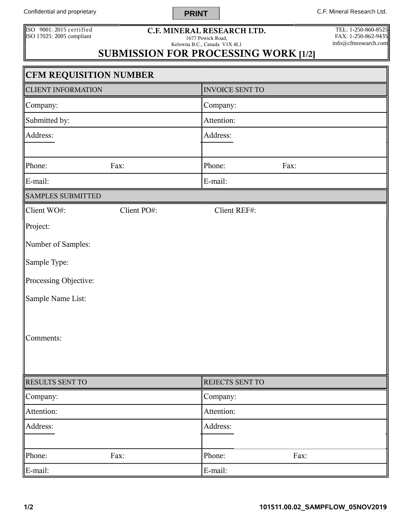Confidential and proprietary **C.F. Mineral Research Ltd. C.F. Mineral Research Ltd.** 

ISO 9001: 2015 certified ISO 17025: 2005 compliant **C.F. MINERAL RESEARCH LTD.**

**PRINT**

1677 Powick Road, Kelowna B.C., Canada V1X 4L1

TEL: 1-250-860-8525 FAX: 1-250-862-9435 info@cfmresearch.com

1

## **SUBMISSION FOR PROCESSING WORK [1/2]**

| <b>CFM REQUISITION NUMBER</b> |             |                        |      |  |
|-------------------------------|-------------|------------------------|------|--|
| <b>CLIENT INFORMATION</b>     |             | <b>INVOICE SENT TO</b> |      |  |
| Company:                      |             | Company:               |      |  |
| Submitted by:                 |             | Attention:             |      |  |
| Address:                      |             | Address:               |      |  |
|                               |             |                        |      |  |
| Phone:                        | Fax:        | Phone:                 | Fax: |  |
| E-mail:                       |             | E-mail:                |      |  |
| <b>SAMPLES SUBMITTED</b>      |             |                        |      |  |
| Client WO#:                   | Client PO#: | Client REF#:           |      |  |
| Project:                      |             |                        |      |  |
| Number of Samples:            |             |                        |      |  |
| Sample Type:                  |             |                        |      |  |
| Processing Objective:         |             |                        |      |  |
| Sample Name List:             |             |                        |      |  |
|                               |             |                        |      |  |
| Comments:                     |             |                        |      |  |
|                               |             |                        |      |  |
|                               |             |                        |      |  |
| RESULTS SENT TO               |             | REJECTS SENT TO        |      |  |
| Company:                      |             | Company:               |      |  |
| Attention:                    |             | Attention:             |      |  |
| Address:                      |             | Address:               |      |  |
|                               |             |                        |      |  |
| Phone:                        | Fax:        | Phone:                 | Fax: |  |
| E-mail:                       |             | E-mail:                |      |  |